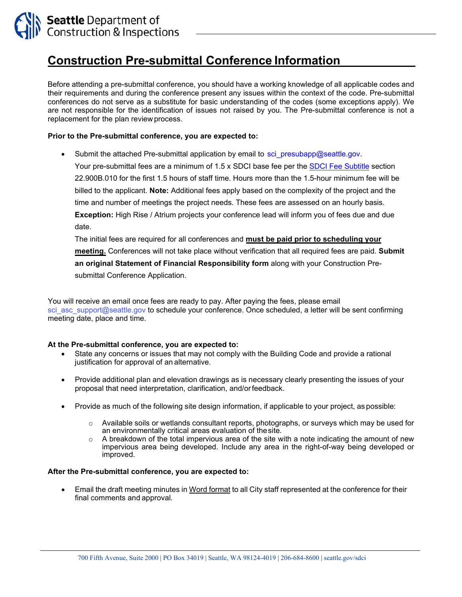

# **Construction Pre-submittal Conference Information**

Before attending a pre-submittal conference, you should have a working knowledge of all applicable codes and their requirements and during the conference present any issues within the context of the code. Pre-submittal conferences do not serve as a substitute for basic understanding of the codes (some exceptions apply). We are not responsible for the identification of issues not raised by you. The Pre-submittal conference is not a replacement for the plan review process.

#### **Prior to the Pre-submittal conference, you are expected to:**

Submit the attached Pre-submittal application by email to [sci\\_presubapp@seattle.gov](mailto:sci_presubapp@seattle.gov).

Your pre-submittal fees are a minimum of 1.5 x SDCI base fee per th[e SDCI Fee Subtitle](http://www.seattle.gov/Documents/Departments/SDCI/Codes/FeeSubtitleFinal.pdf) section 22.900B.010 for the first 1.5 hours of staff time. Hours more than the 1.5-hour minimum fee will be billed to the applicant. **Note:** Additional fees apply based on the complexity of the project and the time and number of meetings the project needs. These fees are assessed on an hourly basis. **Exception:** High Rise / Atrium projects your conference lead will inform you of fees due and due date.

The initial fees are required for all conferences and **must be paid prior to scheduling your meeting.** Conferences will not take place without verification that all required fees are paid. **Submit an original Statement of Financial Responsibility form** along with your Construction Presubmittal Conference Application.

You will receive an email once fees are ready to pay. After paying the fees, please email [sci\\_asc\\_support@seattle.gov](mailto:sci_asc_support@seattle.gov) to schedule your conference. Once scheduled, a letter will be sent confirming meeting date, place and time.

#### **At the Pre-submittal conference, you are expected to:**

- State any concerns or issues that may not comply with the Building Code and provide a rational justification for approval of an alternative.
- Provide additional plan and elevation drawings as is necessary clearly presenting the issues of your proposal that need interpretation, clarification, and/orfeedback.
- Provide as much of the following site design information, if applicable to your project, as possible:
	- o Available soils or wetlands consultant reports, photographs, or surveys which may be used for an environmentally critical areas evaluation of thesite.
	- A breakdown of the total impervious area of the site with a note indicating the amount of new impervious area being developed. Include any area in the right-of-way being developed or improved.

#### **After the Pre-submittal conference, you are expected to:**

• Email the draft meeting minutes in Word format to all City staff represented at the conference for their final comments and approval.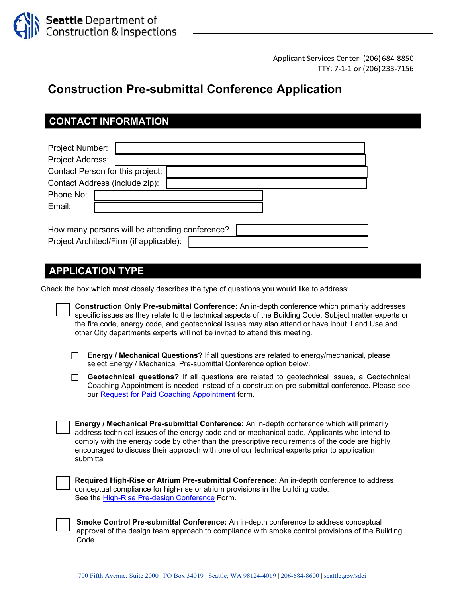

Applicant Services Center: (206) 684‐8850 TTY: 7‐1‐1 or (206) 233‐7156

## **Construction Pre-submittal Conference Application**

### **CONTACT INFORMATION**

| <b>Project Number:</b>                         |  |  |  |  |  |  |
|------------------------------------------------|--|--|--|--|--|--|
| <b>Project Address:</b>                        |  |  |  |  |  |  |
| Contact Person for this project:               |  |  |  |  |  |  |
| Contact Address (include zip):                 |  |  |  |  |  |  |
| Phone No:                                      |  |  |  |  |  |  |
| Email:                                         |  |  |  |  |  |  |
|                                                |  |  |  |  |  |  |
| How many persons will be attending conference? |  |  |  |  |  |  |
| Project Architect/Firm (if applicable):        |  |  |  |  |  |  |

#### **APPLICATION TYPE**

Check the box which most closely describes the type of questions you would like to address:

| Construction Only Pre-submittal Conference: An in-depth conference which primarily addresses            |
|---------------------------------------------------------------------------------------------------------|
| specific issues as they relate to the technical aspects of the Building Code. Subject matter experts on |
| the fire code, energy code, and geotechnical issues may also attend or have input. Land Use and         |
| other City departments experts will not be invited to attend this meeting.                              |

- **Energy / Mechanical Questions?** If all questions are related to energy/mechanical, please select Energy / Mechanical Pre-submittal Conference option below.
- **Geotechnical questions?** If all questions are related to geotechnical issues, a Geotechnical Coaching Appointment is needed instead of a construction pre-submittal conference. Please see ou[r Request for Paid Coaching Appointment](http://www.seattle.gov/Documents/Departments/SDCI/Forms/PaidCoachingAppointmentRequest.pdf) form.

**Energy / Mechanical Pre-submittal Conference:** An in-depth conference which will primarily address technical issues of the energy code and or mechanical code. Applicants who intend to comply with the energy code by other than the prescriptive requirements of the code are highly encouraged to discuss their approach with one of our technical experts prior to application submittal.

**Required High-Rise or Atrium Pre-submittal Conference:** An in-depth conference to address conceptual compliance for high-rise or atrium provisions in the building code. See the [High-Rise Pre-design Conference](https://www.seattle.gov/Documents/Departments/SDCI/Forms/HighRisePredesignConference.docx) Form.

**Smoke Control Pre-submittal Conference:** An in-depth conference to address conceptual approval of the design team approach to compliance with smoke control provisions of the Building Code.